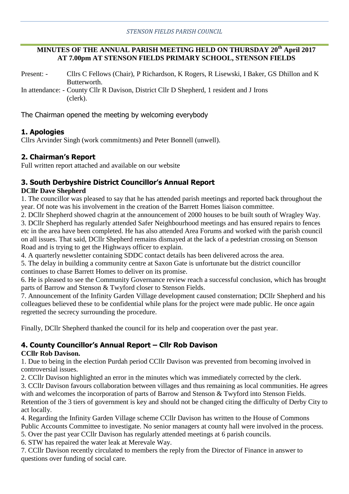#### **MINUTES OF THE ANNUAL PARISH MEETING HELD ON THURSDAY 20th April 2017 AT 7.00pm AT STENSON FIELDS PRIMARY SCHOOL, STENSON FIELDS**

Present: - Cllrs C Fellows (Chair), P Richardson, K Rogers, R Lisewski, I Baker, GS Dhillon and K Butterworth. In attendance: - County Cllr R Davison, District Cllr D Shepherd, 1 resident and J Irons

(clerk).

The Chairman opened the meeting by welcoming everybody

## **1. Apologies**

Cllrs Arvinder Singh (work commitments) and Peter Bonnell (unwell).

# **2. Chairman's Report**

Full written report attached and available on our website

# **3. South Derbyshire District Councillor's Annual Report**

#### **DCllr Dave Shepherd**

1. The councillor was pleased to say that he has attended parish meetings and reported back throughout the year. Of note was his involvement in the creation of the Barrett Homes liaison committee.

2. DCllr Shepherd showed chagrin at the announcement of 2000 houses to be built south of Wragley Way.

3. DCllr Shepherd has regularly attended Safer Neighbourhood meetings and has ensured repairs to fences etc in the area have been completed. He has also attended Area Forums and worked with the parish council on all issues. That said, DCllr Shepherd remains dismayed at the lack of a pedestrian crossing on Stenson Road and is trying to get the Highways officer to explain.

4. A quarterly newsletter containing SDDC contact details has been delivered across the area.

5. The delay in building a community centre at Saxon Gate is unfortunate but the district councillor continues to chase Barrett Homes to deliver on its promise.

6. He is pleased to see the Community Governance review reach a successful conclusion, which has brought parts of Barrow and Stenson & Twyford closer to Stenson Fields.

7. Announcement of the Infinity Garden Village development caused consternation; DCllr Shepherd and his colleagues believed these to be confidential while plans for the project were made public. He once again regretted the secrecy surrounding the procedure.

Finally, DCllr Shepherd thanked the council for its help and cooperation over the past year.

# **4. County Councillor's Annual Report – Cllr Rob Davison**

## **CCllr Rob Davison.**

1. Due to being in the election Purdah period CCllr Davison was prevented from becoming involved in controversial issues.

2. CCllr Davison highlighted an error in the minutes which was immediately corrected by the clerk.

3. CCllr Davison favours collaboration between villages and thus remaining as local communities. He agrees with and welcomes the incorporation of parts of Barrow and Stenson & Twyford into Stenson Fields.

Retention of the 3 tiers of government is key and should not be changed citing the difficulty of Derby City to act locally.

4. Regarding the Infinity Garden Village scheme CCllr Davison has written to the House of Commons Public Accounts Committee to investigate. No senior managers at county hall were involved in the process.

5. Over the past year CCllr Davison has regularly attended meetings at 6 parish councils.

6. STW has repaired the water leak at Merevale Way.

7. CCllr Davison recently circulated to members the reply from the Director of Finance in answer to questions over funding of social care.